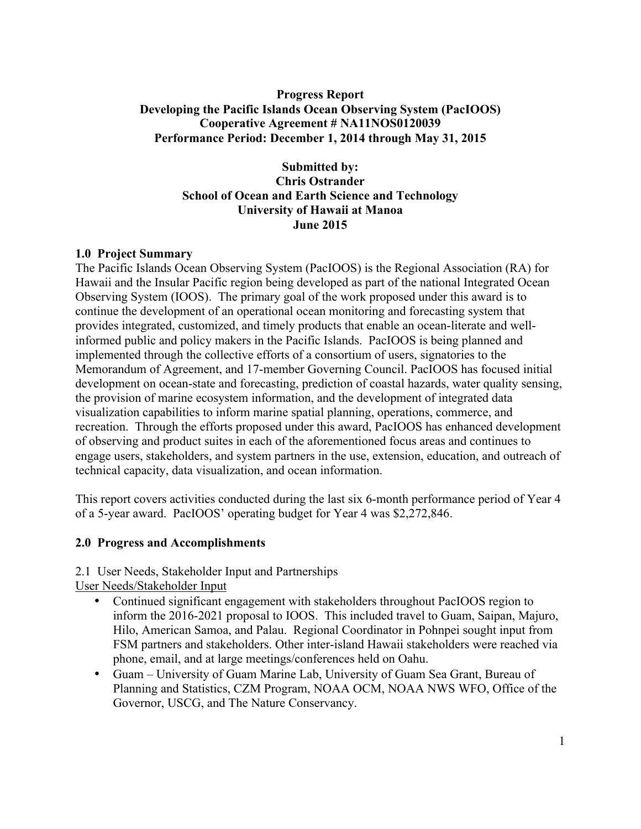#### **Progress Report Developing the Pacific Islands Ocean Observing System (PacIOOS) Cooperative Agreement # NA11NOS0120039 Performance Period: December 1, 2014 through May 31, 2015**

**Submitted by: Chris Ostrander School of Ocean and Earth Science and Technology University of Hawaii at Manoa June 2015**

#### **1.0 Project Summary**

The Pacific Islands Ocean Observing System (PacIOOS) is the Regional Association (RA) for Hawaii and the Insular Pacific region being developed as part of the national Integrated Ocean Observing System (IOOS). The primary goal of the work proposed under this award is to continue the development of an operational ocean monitoring and forecasting system that provides integrated, customized, and timely products that enable an ocean-literate and wellinformed public and policy makers in the Pacific Islands. PacIOOS is being planned and implemented through the collective efforts of a consortium of users, signatories to the Memorandum of Agreement, and 17-member Governing Council. PacIOOS has focused initial development on ocean-state and forecasting, prediction of coastal hazards, water quality sensing, the provision of marine ecosystem information, and the development of integrated data visualization capabilities to inform marine spatial planning, operations, commerce, and recreation. Through the efforts proposed under this award, PacIOOS has enhanced development of observing and product suites in each of the aforementioned focus areas and continues to engage users, stakeholders, and system partners in the use, extension, education, and outreach of technical capacity, data visualization, and ocean information.

This report covers activities conducted during the last six 6-month performance period of Year 4 of a 5-year award. PacIOOS' operating budget for Year 4 was \$2,272,846.

#### **2.0 Progress and Accomplishments**

2.1 User Needs, Stakeholder Input and Partnerships User Needs/Stakeholder Input

- Continued significant engagement with stakeholders throughout PacIOOS region to inform the 2016-2021 proposal to IOOS. This included travel to Guam, Saipan, Majuro, Hilo, American Samoa, and Palau. Regional Coordinator in Pohnpei sought input from FSM partners and stakeholders. Other inter-island Hawaii stakeholders were reached via phone, email, and at large meetings/conferences held on Oahu.
- Guam University of Guam Marine Lab, University of Guam Sea Grant, Bureau of Planning and Statistics, CZM Program, NOAA OCM, NOAA NWS WFO, Office of the Governor, USCG, and The Nature Conservancy.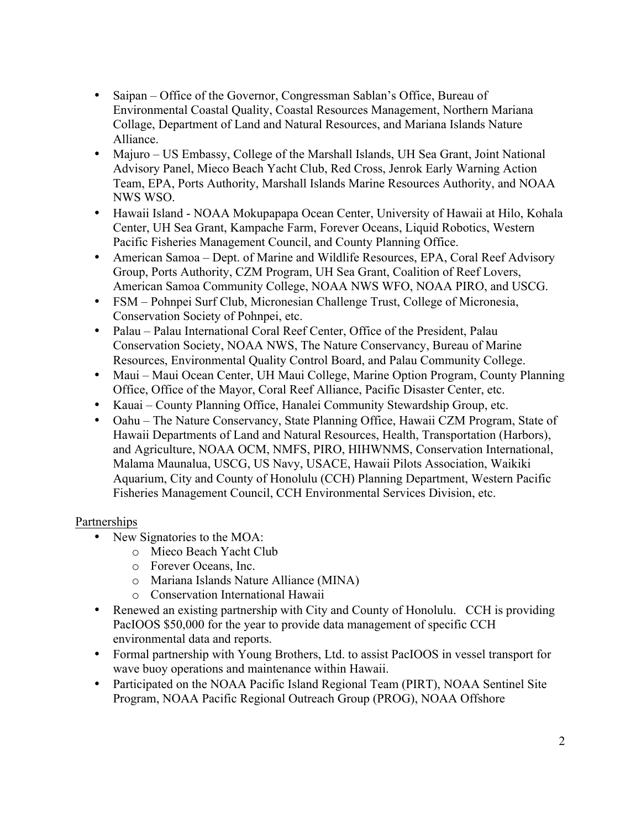- Saipan Office of the Governor, Congressman Sablan's Office, Bureau of Environmental Coastal Quality, Coastal Resources Management, Northern Mariana Collage, Department of Land and Natural Resources, and Mariana Islands Nature Alliance.
- Majuro US Embassy, College of the Marshall Islands, UH Sea Grant, Joint National Advisory Panel, Mieco Beach Yacht Club, Red Cross, Jenrok Early Warning Action Team, EPA, Ports Authority, Marshall Islands Marine Resources Authority, and NOAA NWS WSO.
- Hawaii Island NOAA Mokupapapa Ocean Center, University of Hawaii at Hilo, Kohala Center, UH Sea Grant, Kampache Farm, Forever Oceans, Liquid Robotics, Western Pacific Fisheries Management Council, and County Planning Office.
- American Samoa Dept. of Marine and Wildlife Resources, EPA, Coral Reef Advisory Group, Ports Authority, CZM Program, UH Sea Grant, Coalition of Reef Lovers, American Samoa Community College, NOAA NWS WFO, NOAA PIRO, and USCG.
- FSM Pohnpei Surf Club, Micronesian Challenge Trust, College of Micronesia, Conservation Society of Pohnpei, etc.
- Palau Palau International Coral Reef Center, Office of the President, Palau Conservation Society, NOAA NWS, The Nature Conservancy, Bureau of Marine Resources, Environmental Quality Control Board, and Palau Community College.
- Maui Maui Ocean Center, UH Maui College, Marine Option Program, County Planning Office, Office of the Mayor, Coral Reef Alliance, Pacific Disaster Center, etc.
- Kauai County Planning Office, Hanalei Community Stewardship Group, etc.
- Oahu The Nature Conservancy, State Planning Office, Hawaii CZM Program, State of Hawaii Departments of Land and Natural Resources, Health, Transportation (Harbors), and Agriculture, NOAA OCM, NMFS, PIRO, HIHWNMS, Conservation International, Malama Maunalua, USCG, US Navy, USACE, Hawaii Pilots Association, Waikiki Aquarium, City and County of Honolulu (CCH) Planning Department, Western Pacific Fisheries Management Council, CCH Environmental Services Division, etc.

#### Partnerships

- New Signatories to the MOA:
	- o Mieco Beach Yacht Club
	- o Forever Oceans, Inc.
	- o Mariana Islands Nature Alliance (MINA)
	- o Conservation International Hawaii
- Renewed an existing partnership with City and County of Honolulu. CCH is providing PacIOOS \$50,000 for the year to provide data management of specific CCH environmental data and reports.
- Formal partnership with Young Brothers, Ltd. to assist PacIOOS in vessel transport for wave buoy operations and maintenance within Hawaii.
- Participated on the NOAA Pacific Island Regional Team (PIRT), NOAA Sentinel Site Program, NOAA Pacific Regional Outreach Group (PROG), NOAA Offshore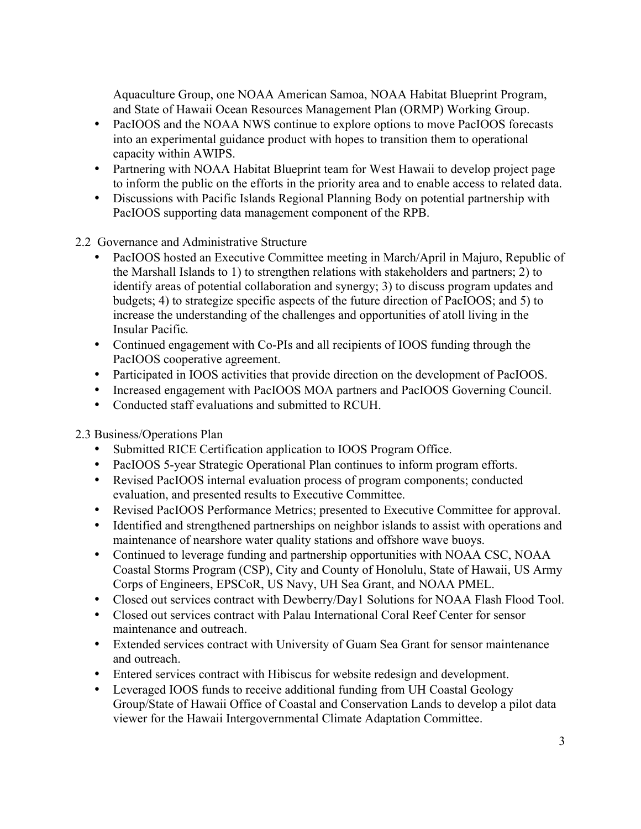Aquaculture Group, one NOAA American Samoa, NOAA Habitat Blueprint Program, and State of Hawaii Ocean Resources Management Plan (ORMP) Working Group.

- PacIOOS and the NOAA NWS continue to explore options to move PacIOOS forecasts into an experimental guidance product with hopes to transition them to operational capacity within AWIPS.
- Partnering with NOAA Habitat Blueprint team for West Hawaii to develop project page to inform the public on the efforts in the priority area and to enable access to related data.
- Discussions with Pacific Islands Regional Planning Body on potential partnership with PacIOOS supporting data management component of the RPB.

2.2 Governance and Administrative Structure

- PacIOOS hosted an Executive Committee meeting in March/April in Majuro, Republic of the Marshall Islands to 1) to strengthen relations with stakeholders and partners; 2) to identify areas of potential collaboration and synergy; 3) to discuss program updates and budgets; 4) to strategize specific aspects of the future direction of PacIOOS; and 5) to increase the understanding of the challenges and opportunities of atoll living in the Insular Pacific.
- Continued engagement with Co-PIs and all recipients of IOOS funding through the PacIOOS cooperative agreement.
- Participated in IOOS activities that provide direction on the development of PacIOOS.
- Increased engagement with PacIOOS MOA partners and PacIOOS Governing Council.
- Conducted staff evaluations and submitted to RCUH.

2.3 Business/Operations Plan

- Submitted RICE Certification application to IOOS Program Office.
- PacIOOS 5-year Strategic Operational Plan continues to inform program efforts.
- Revised PacIOOS internal evaluation process of program components; conducted evaluation, and presented results to Executive Committee.
- Revised PacIOOS Performance Metrics; presented to Executive Committee for approval.
- Identified and strengthened partnerships on neighbor islands to assist with operations and maintenance of nearshore water quality stations and offshore wave buoys.
- Continued to leverage funding and partnership opportunities with NOAA CSC, NOAA Coastal Storms Program (CSP), City and County of Honolulu, State of Hawaii, US Army Corps of Engineers, EPSCoR, US Navy, UH Sea Grant, and NOAA PMEL.
- Closed out services contract with Dewberry/Day1 Solutions for NOAA Flash Flood Tool.
- Closed out services contract with Palau International Coral Reef Center for sensor maintenance and outreach.
- Extended services contract with University of Guam Sea Grant for sensor maintenance and outreach.
- Entered services contract with Hibiscus for website redesign and development.
- Leveraged IOOS funds to receive additional funding from UH Coastal Geology Group/State of Hawaii Office of Coastal and Conservation Lands to develop a pilot data viewer for the Hawaii Intergovernmental Climate Adaptation Committee.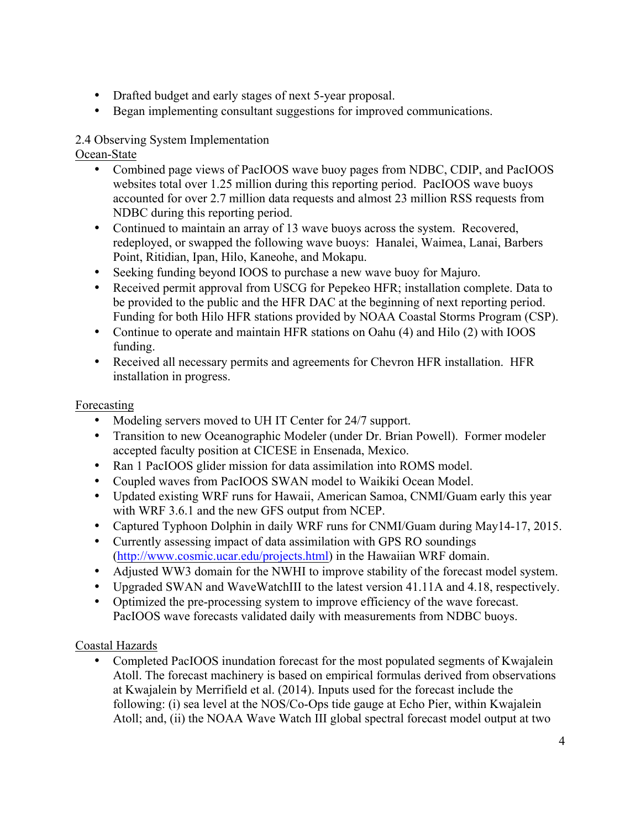- Drafted budget and early stages of next 5-year proposal.
- Began implementing consultant suggestions for improved communications.

# 2.4 Observing System Implementation

Ocean-State

- Combined page views of PacIOOS wave buoy pages from NDBC, CDIP, and PacIOOS websites total over 1.25 million during this reporting period. PacIOOS wave buoys accounted for over 2.7 million data requests and almost 23 million RSS requests from NDBC during this reporting period.
- Continued to maintain an array of 13 wave buoys across the system. Recovered, redeployed, or swapped the following wave buoys: Hanalei, Waimea, Lanai, Barbers Point, Ritidian, Ipan, Hilo, Kaneohe, and Mokapu.
- Seeking funding beyond IOOS to purchase a new wave buoy for Majuro.
- Received permit approval from USCG for Pepekeo HFR; installation complete. Data to be provided to the public and the HFR DAC at the beginning of next reporting period. Funding for both Hilo HFR stations provided by NOAA Coastal Storms Program (CSP).
- Continue to operate and maintain HFR stations on Oahu (4) and Hilo (2) with IOOS funding.
- Received all necessary permits and agreements for Chevron HFR installation. HFR installation in progress.

# Forecasting

- Modeling servers moved to UH IT Center for 24/7 support.
- Transition to new Oceanographic Modeler (under Dr. Brian Powell). Former modeler accepted faculty position at CICESE in Ensenada, Mexico.
- Ran 1 PacIOOS glider mission for data assimilation into ROMS model.
- Coupled waves from PacIOOS SWAN model to Waikiki Ocean Model.
- Updated existing WRF runs for Hawaii, American Samoa, CNMI/Guam early this year with WRF 3.6.1 and the new GFS output from NCEP.
- Captured Typhoon Dolphin in daily WRF runs for CNMI/Guam during May14-17, 2015.
- Currently assessing impact of data assimilation with GPS RO soundings (http://www.cosmic.ucar.edu/projects.html) in the Hawaiian WRF domain.
- Adjusted WW3 domain for the NWHI to improve stability of the forecast model system.
- Upgraded SWAN and WaveWatchIII to the latest version 41.11A and 4.18, respectively.
- Optimized the pre-processing system to improve efficiency of the wave forecast. PacIOOS wave forecasts validated daily with measurements from NDBC buoys.

# Coastal Hazards

• Completed PacIOOS inundation forecast for the most populated segments of Kwajalein Atoll. The forecast machinery is based on empirical formulas derived from observations at Kwajalein by Merrifield et al. (2014). Inputs used for the forecast include the following: (i) sea level at the NOS/Co-Ops tide gauge at Echo Pier, within Kwajalein Atoll; and, (ii) the NOAA Wave Watch III global spectral forecast model output at two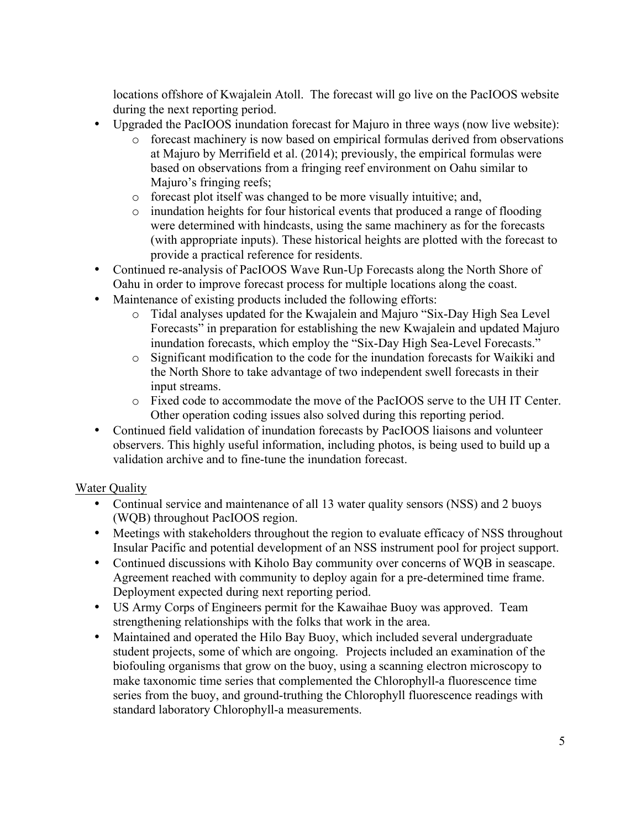locations offshore of Kwajalein Atoll. The forecast will go live on the PacIOOS website during the next reporting period.

- Upgraded the PacIOOS inundation forecast for Majuro in three ways (now live website):
	- o forecast machinery is now based on empirical formulas derived from observations at Majuro by Merrifield et al. (2014); previously, the empirical formulas were based on observations from a fringing reef environment on Oahu similar to Majuro's fringing reefs;
	- o forecast plot itself was changed to be more visually intuitive; and,
	- o inundation heights for four historical events that produced a range of flooding were determined with hindcasts, using the same machinery as for the forecasts (with appropriate inputs). These historical heights are plotted with the forecast to provide a practical reference for residents.
- Continued re-analysis of PacIOOS Wave Run-Up Forecasts along the North Shore of Oahu in order to improve forecast process for multiple locations along the coast.
- Maintenance of existing products included the following efforts:
	- o Tidal analyses updated for the Kwajalein and Majuro "Six-Day High Sea Level Forecasts" in preparation for establishing the new Kwajalein and updated Majuro inundation forecasts, which employ the "Six-Day High Sea-Level Forecasts."
	- o Significant modification to the code for the inundation forecasts for Waikiki and the North Shore to take advantage of two independent swell forecasts in their input streams.
	- o Fixed code to accommodate the move of the PacIOOS serve to the UH IT Center. Other operation coding issues also solved during this reporting period.
- Continued field validation of inundation forecasts by PacIOOS liaisons and volunteer observers. This highly useful information, including photos, is being used to build up a validation archive and to fine-tune the inundation forecast.

# Water Quality

- Continual service and maintenance of all 13 water quality sensors (NSS) and 2 buoys (WQB) throughout PacIOOS region.
- Meetings with stakeholders throughout the region to evaluate efficacy of NSS throughout Insular Pacific and potential development of an NSS instrument pool for project support.
- Continued discussions with Kiholo Bay community over concerns of WQB in seascape. Agreement reached with community to deploy again for a pre-determined time frame. Deployment expected during next reporting period.
- US Army Corps of Engineers permit for the Kawaihae Buoy was approved. Team strengthening relationships with the folks that work in the area.
- Maintained and operated the Hilo Bay Buoy, which included several undergraduate student projects, some of which are ongoing. Projects included an examination of the biofouling organisms that grow on the buoy, using a scanning electron microscopy to make taxonomic time series that complemented the Chlorophyll-a fluorescence time series from the buoy, and ground-truthing the Chlorophyll fluorescence readings with standard laboratory Chlorophyll-a measurements.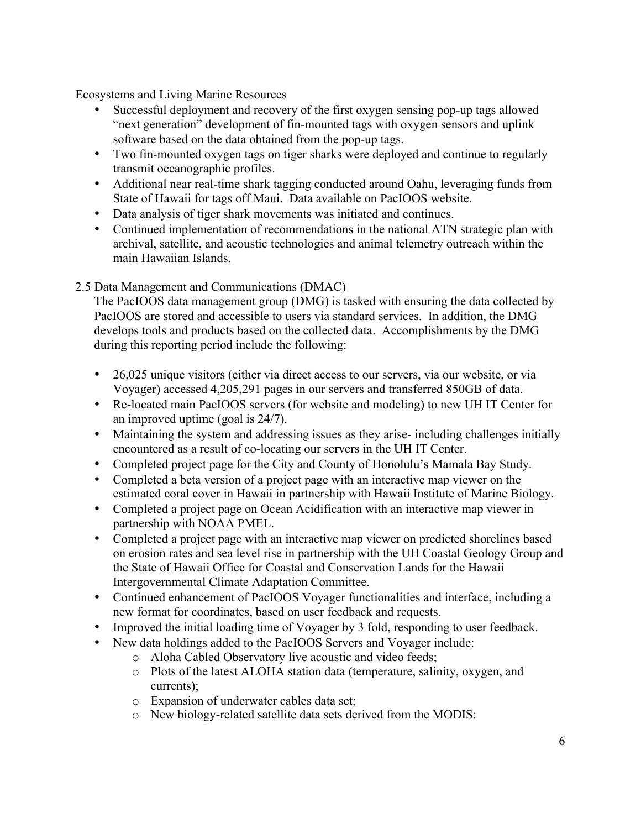Ecosystems and Living Marine Resources

- Successful deployment and recovery of the first oxygen sensing pop-up tags allowed "next generation" development of fin-mounted tags with oxygen sensors and uplink software based on the data obtained from the pop-up tags.
- Two fin-mounted oxygen tags on tiger sharks were deployed and continue to regularly transmit oceanographic profiles.
- Additional near real-time shark tagging conducted around Oahu, leveraging funds from State of Hawaii for tags off Maui. Data available on PacIOOS website.
- Data analysis of tiger shark movements was initiated and continues.
- Continued implementation of recommendations in the national ATN strategic plan with archival, satellite, and acoustic technologies and animal telemetry outreach within the main Hawaiian Islands.

### 2.5 Data Management and Communications (DMAC)

The PacIOOS data management group (DMG) is tasked with ensuring the data collected by PacIOOS are stored and accessible to users via standard services. In addition, the DMG develops tools and products based on the collected data. Accomplishments by the DMG during this reporting period include the following:

- 26,025 unique visitors (either via direct access to our servers, via our website, or via Voyager) accessed 4,205,291 pages in our servers and transferred 850GB of data.
- Re-located main PacIOOS servers (for website and modeling) to new UH IT Center for an improved uptime (goal is 24/7).
- Maintaining the system and addressing issues as they arise- including challenges initially encountered as a result of co-locating our servers in the UH IT Center.
- Completed project page for the City and County of Honolulu's Mamala Bay Study.
- Completed a beta version of a project page with an interactive map viewer on the estimated coral cover in Hawaii in partnership with Hawaii Institute of Marine Biology.
- Completed a project page on Ocean Acidification with an interactive map viewer in partnership with NOAA PMEL.
- Completed a project page with an interactive map viewer on predicted shorelines based on erosion rates and sea level rise in partnership with the UH Coastal Geology Group and the State of Hawaii Office for Coastal and Conservation Lands for the Hawaii Intergovernmental Climate Adaptation Committee.
- Continued enhancement of PacIOOS Voyager functionalities and interface, including a new format for coordinates, based on user feedback and requests.
- Improved the initial loading time of Voyager by 3 fold, responding to user feedback.
- New data holdings added to the PacIOOS Servers and Voyager include:
	- o Aloha Cabled Observatory live acoustic and video feeds;
	- o Plots of the latest ALOHA station data (temperature, salinity, oxygen, and currents);
	- o Expansion of underwater cables data set;
	- o New biology-related satellite data sets derived from the MODIS: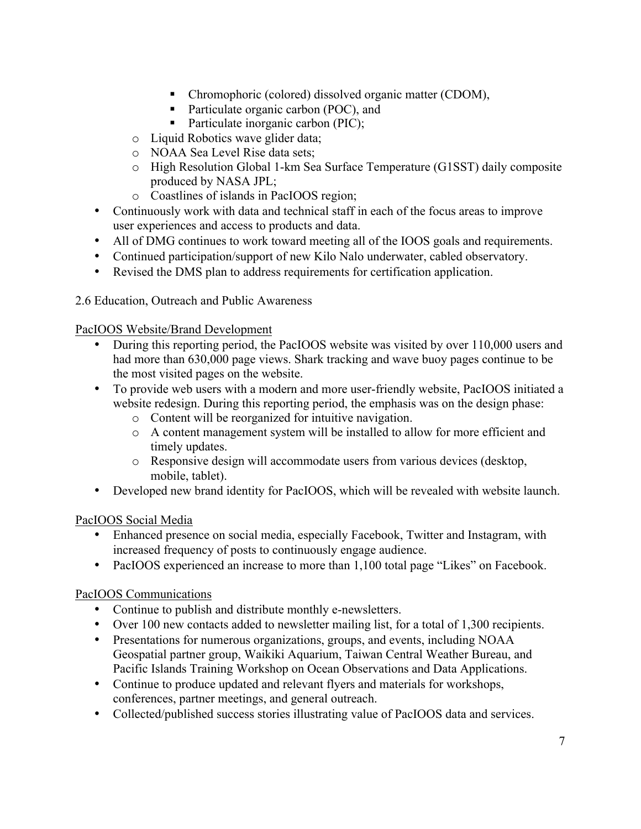- Chromophoric (colored) dissolved organic matter (CDOM),
- Particulate organic carbon (POC), and
- Particulate inorganic carbon (PIC);
- o Liquid Robotics wave glider data;
- o NOAA Sea Level Rise data sets;
- o High Resolution Global 1-km Sea Surface Temperature (G1SST) daily composite produced by NASA JPL;
- o Coastlines of islands in PacIOOS region;
- Continuously work with data and technical staff in each of the focus areas to improve user experiences and access to products and data.
- All of DMG continues to work toward meeting all of the IOOS goals and requirements.
- Continued participation/support of new Kilo Nalo underwater, cabled observatory.
- Revised the DMS plan to address requirements for certification application.

2.6 Education, Outreach and Public Awareness

PacIOOS Website/Brand Development

- During this reporting period, the PacIOOS website was visited by over 110,000 users and had more than 630,000 page views. Shark tracking and wave buoy pages continue to be the most visited pages on the website.
- To provide web users with a modern and more user-friendly website, PacIOOS initiated a website redesign. During this reporting period, the emphasis was on the design phase:
	- o Content will be reorganized for intuitive navigation.
	- o A content management system will be installed to allow for more efficient and timely updates.
	- o Responsive design will accommodate users from various devices (desktop, mobile, tablet).
- Developed new brand identity for PacIOOS, which will be revealed with website launch.

PacIOOS Social Media

- Enhanced presence on social media, especially Facebook, Twitter and Instagram, with increased frequency of posts to continuously engage audience.
- PacIOOS experienced an increase to more than 1,100 total page "Likes" on Facebook.

#### PacIOOS Communications

- Continue to publish and distribute monthly e-newsletters.
- Over 100 new contacts added to newsletter mailing list, for a total of 1,300 recipients.
- Presentations for numerous organizations, groups, and events, including NOAA Geospatial partner group, Waikiki Aquarium, Taiwan Central Weather Bureau, and Pacific Islands Training Workshop on Ocean Observations and Data Applications.
- Continue to produce updated and relevant flyers and materials for workshops, conferences, partner meetings, and general outreach.
- Collected/published success stories illustrating value of PacIOOS data and services.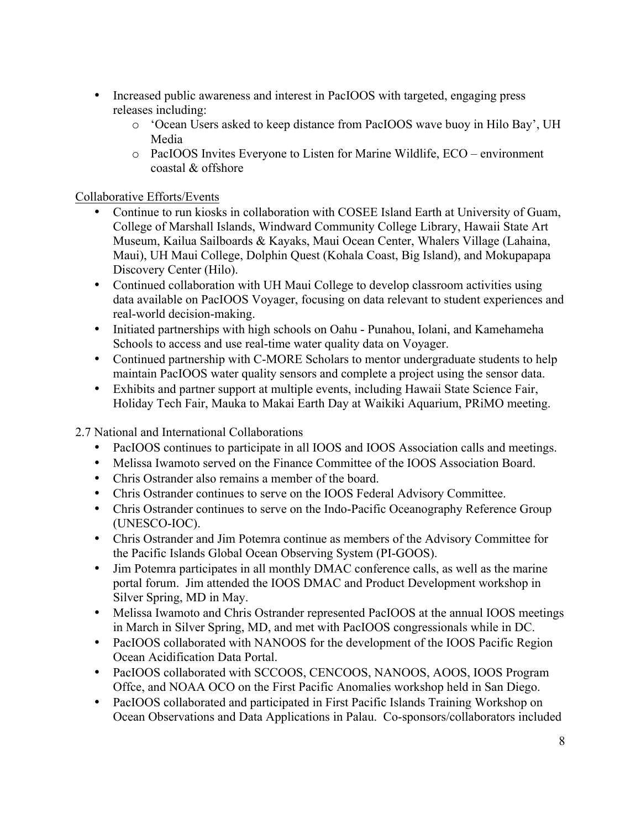- Increased public awareness and interest in PacIOOS with targeted, engaging press releases including:
	- o 'Ocean Users asked to keep distance from PacIOOS wave buoy in Hilo Bay', UH Media
	- o PacIOOS Invites Everyone to Listen for Marine Wildlife, ECO environment coastal & offshore

Collaborative Efforts/Events

- Continue to run kiosks in collaboration with COSEE Island Earth at University of Guam, College of Marshall Islands, Windward Community College Library, Hawaii State Art Museum, Kailua Sailboards & Kayaks, Maui Ocean Center, Whalers Village (Lahaina, Maui), UH Maui College, Dolphin Quest (Kohala Coast, Big Island), and Mokupapapa Discovery Center (Hilo).
- Continued collaboration with UH Maui College to develop classroom activities using data available on PacIOOS Voyager, focusing on data relevant to student experiences and real-world decision-making.
- Initiated partnerships with high schools on Oahu Punahou, Iolani, and Kamehameha Schools to access and use real-time water quality data on Voyager.
- Continued partnership with C-MORE Scholars to mentor undergraduate students to help maintain PacIOOS water quality sensors and complete a project using the sensor data.
- Exhibits and partner support at multiple events, including Hawaii State Science Fair, Holiday Tech Fair, Mauka to Makai Earth Day at Waikiki Aquarium, PRiMO meeting.

2.7 National and International Collaborations

- PacIOOS continues to participate in all IOOS and IOOS Association calls and meetings.
- Melissa Iwamoto served on the Finance Committee of the IOOS Association Board.
- Chris Ostrander also remains a member of the board.
- Chris Ostrander continues to serve on the IOOS Federal Advisory Committee.
- Chris Ostrander continues to serve on the Indo-Pacific Oceanography Reference Group (UNESCO-IOC).
- Chris Ostrander and Jim Potemra continue as members of the Advisory Committee for the Pacific Islands Global Ocean Observing System (PI-GOOS).
- Jim Potemra participates in all monthly DMAC conference calls, as well as the marine portal forum. Jim attended the IOOS DMAC and Product Development workshop in Silver Spring, MD in May.
- Melissa Iwamoto and Chris Ostrander represented PacIOOS at the annual IOOS meetings in March in Silver Spring, MD, and met with PacIOOS congressionals while in DC.
- PacIOOS collaborated with NANOOS for the development of the IOOS Pacific Region Ocean Acidification Data Portal.
- PacIOOS collaborated with SCCOOS, CENCOOS, NANOOS, AOOS, IOOS Program Offce, and NOAA OCO on the First Pacific Anomalies workshop held in San Diego.
- PacIOOS collaborated and participated in First Pacific Islands Training Workshop on Ocean Observations and Data Applications in Palau. Co-sponsors/collaborators included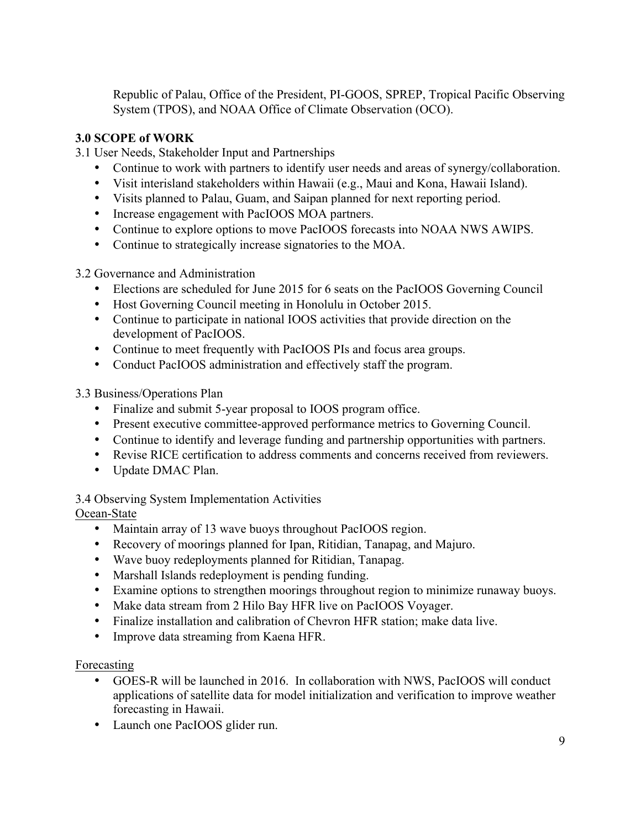Republic of Palau, Office of the President, PI-GOOS, SPREP, Tropical Pacific Observing System (TPOS), and NOAA Office of Climate Observation (OCO).

# **3.0 SCOPE of WORK**

3.1 User Needs, Stakeholder Input and Partnerships

- Continue to work with partners to identify user needs and areas of synergy/collaboration.
- Visit interisland stakeholders within Hawaii (e.g., Maui and Kona, Hawaii Island).
- Visits planned to Palau, Guam, and Saipan planned for next reporting period.
- Increase engagement with PacIOOS MOA partners.
- Continue to explore options to move PacIOOS forecasts into NOAA NWS AWIPS.
- Continue to strategically increase signatories to the MOA.

3.2 Governance and Administration

- Elections are scheduled for June 2015 for 6 seats on the PacIOOS Governing Council
- Host Governing Council meeting in Honolulu in October 2015.
- Continue to participate in national IOOS activities that provide direction on the development of PacIOOS.
- Continue to meet frequently with PacIOOS PIs and focus area groups.
- Conduct PacIOOS administration and effectively staff the program.

3.3 Business/Operations Plan

- Finalize and submit 5-year proposal to IOOS program office.
- Present executive committee-approved performance metrics to Governing Council.
- Continue to identify and leverage funding and partnership opportunities with partners.
- Revise RICE certification to address comments and concerns received from reviewers.
- Update DMAC Plan.

3.4 Observing System Implementation Activities

# Ocean-State

- Maintain array of 13 wave buoys throughout PacIOOS region.
- Recovery of moorings planned for Ipan, Ritidian, Tanapag, and Majuro.
- Wave buoy redeployments planned for Ritidian, Tanapag.
- Marshall Islands redeployment is pending funding.
- Examine options to strengthen moorings throughout region to minimize runaway buoys.
- Make data stream from 2 Hilo Bay HFR live on PacIOOS Voyager.
- Finalize installation and calibration of Chevron HFR station; make data live.
- Improve data streaming from Kaena HFR.

# Forecasting

- GOES-R will be launched in 2016. In collaboration with NWS, PacIOOS will conduct applications of satellite data for model initialization and verification to improve weather forecasting in Hawaii.
- Launch one PacIOOS glider run.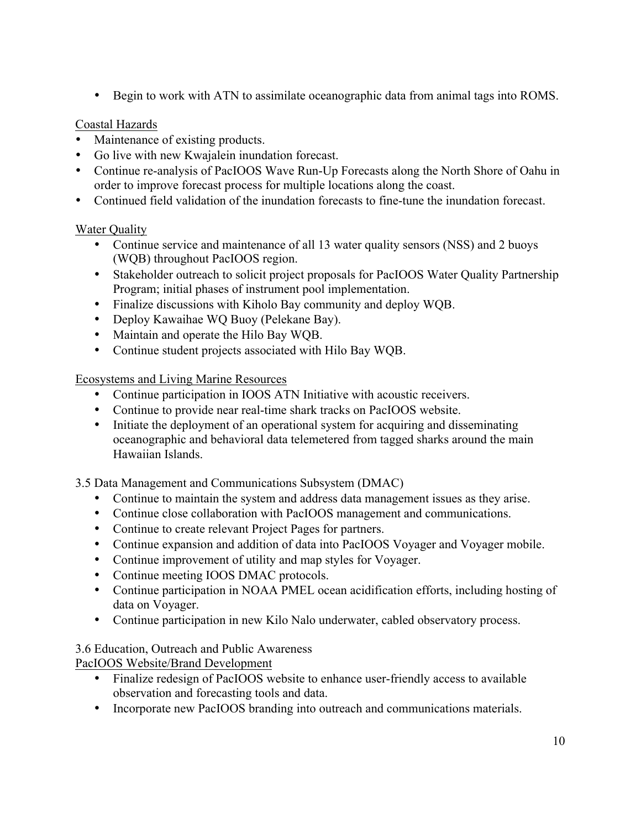• Begin to work with ATN to assimilate oceanographic data from animal tags into ROMS.

### Coastal Hazards

- Maintenance of existing products.
- Go live with new Kwajalein inundation forecast.
- Continue re-analysis of PacIOOS Wave Run-Up Forecasts along the North Shore of Oahu in order to improve forecast process for multiple locations along the coast.
- Continued field validation of the inundation forecasts to fine-tune the inundation forecast.

# Water Quality

- Continue service and maintenance of all 13 water quality sensors (NSS) and 2 buoys (WQB) throughout PacIOOS region.
- Stakeholder outreach to solicit project proposals for PacIOOS Water Quality Partnership Program; initial phases of instrument pool implementation.
- Finalize discussions with Kiholo Bay community and deploy WQB.
- Deploy Kawaihae WQ Buoy (Pelekane Bay).
- Maintain and operate the Hilo Bay WQB.
- Continue student projects associated with Hilo Bay WQB.

Ecosystems and Living Marine Resources

- Continue participation in IOOS ATN Initiative with acoustic receivers.
- Continue to provide near real-time shark tracks on PacIOOS website.
- Initiate the deployment of an operational system for acquiring and disseminating oceanographic and behavioral data telemetered from tagged sharks around the main Hawaiian Islands.

3.5 Data Management and Communications Subsystem (DMAC)

- Continue to maintain the system and address data management issues as they arise.
- Continue close collaboration with PacIOOS management and communications.
- Continue to create relevant Project Pages for partners.
- Continue expansion and addition of data into PacIOOS Voyager and Voyager mobile.
- Continue improvement of utility and map styles for Voyager.
- Continue meeting IOOS DMAC protocols.
- Continue participation in NOAA PMEL ocean acidification efforts, including hosting of data on Voyager.
- Continue participation in new Kilo Nalo underwater, cabled observatory process.

3.6 Education, Outreach and Public Awareness

- PacIOOS Website/Brand Development
	- Finalize redesign of PacIOOS website to enhance user-friendly access to available observation and forecasting tools and data.
	- Incorporate new PacIOOS branding into outreach and communications materials.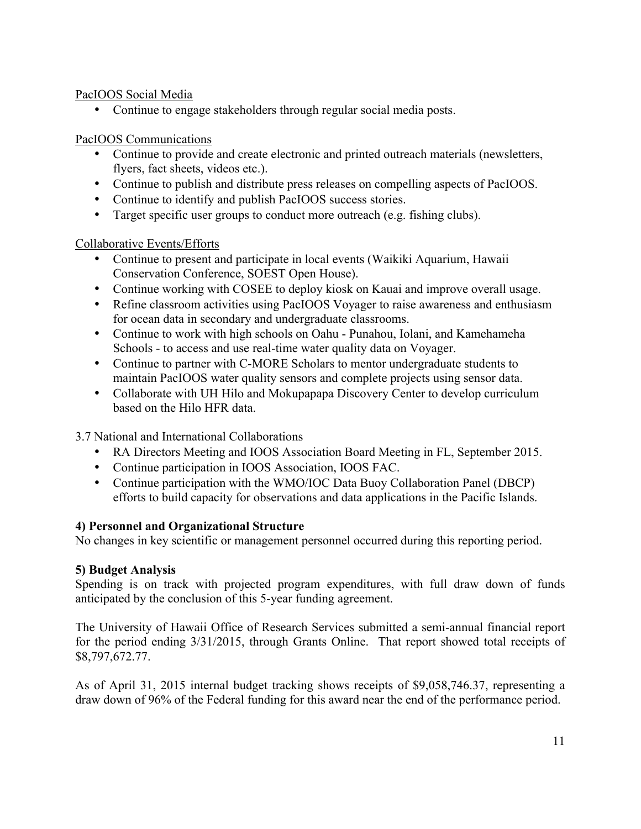### PacIOOS Social Media

• Continue to engage stakeholders through regular social media posts.

# PacIOOS Communications

- Continue to provide and create electronic and printed outreach materials (newsletters, flyers, fact sheets, videos etc.).
- Continue to publish and distribute press releases on compelling aspects of PacIOOS.
- Continue to identify and publish PacIOOS success stories.
- Target specific user groups to conduct more outreach (e.g. fishing clubs).

# Collaborative Events/Efforts

- Continue to present and participate in local events (Waikiki Aquarium, Hawaii Conservation Conference, SOEST Open House).
- Continue working with COSEE to deploy kiosk on Kauai and improve overall usage.
- Refine classroom activities using PacIOOS Voyager to raise awareness and enthusiasm for ocean data in secondary and undergraduate classrooms.
- Continue to work with high schools on Oahu Punahou, Iolani, and Kamehameha Schools - to access and use real-time water quality data on Voyager.
- Continue to partner with C-MORE Scholars to mentor undergraduate students to maintain PacIOOS water quality sensors and complete projects using sensor data.
- Collaborate with UH Hilo and Mokupapapa Discovery Center to develop curriculum based on the Hilo HFR data.

3.7 National and International Collaborations

- RA Directors Meeting and IOOS Association Board Meeting in FL, September 2015.
- Continue participation in IOOS Association, IOOS FAC.
- Continue participation with the WMO/IOC Data Buoy Collaboration Panel (DBCP) efforts to build capacity for observations and data applications in the Pacific Islands.

# **4) Personnel and Organizational Structure**

No changes in key scientific or management personnel occurred during this reporting period.

# **5) Budget Analysis**

Spending is on track with projected program expenditures, with full draw down of funds anticipated by the conclusion of this 5-year funding agreement.

The University of Hawaii Office of Research Services submitted a semi-annual financial report for the period ending 3/31/2015, through Grants Online. That report showed total receipts of \$8,797,672.77.

As of April 31, 2015 internal budget tracking shows receipts of \$9,058,746.37, representing a draw down of 96% of the Federal funding for this award near the end of the performance period.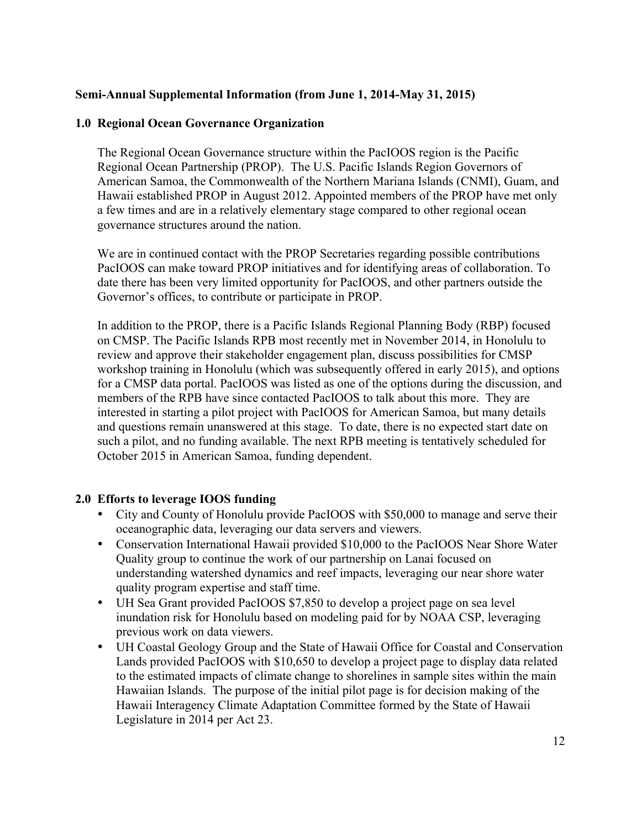### **Semi-Annual Supplemental Information (from June 1, 2014-May 31, 2015)**

### **1.0 Regional Ocean Governance Organization**

The Regional Ocean Governance structure within the PacIOOS region is the Pacific Regional Ocean Partnership (PROP). The U.S. Pacific Islands Region Governors of American Samoa, the Commonwealth of the Northern Mariana Islands (CNMI), Guam, and Hawaii established PROP in August 2012. Appointed members of the PROP have met only a few times and are in a relatively elementary stage compared to other regional ocean governance structures around the nation.

We are in continued contact with the PROP Secretaries regarding possible contributions PacIOOS can make toward PROP initiatives and for identifying areas of collaboration. To date there has been very limited opportunity for PacIOOS, and other partners outside the Governor's offices, to contribute or participate in PROP.

In addition to the PROP, there is a Pacific Islands Regional Planning Body (RBP) focused on CMSP. The Pacific Islands RPB most recently met in November 2014, in Honolulu to review and approve their stakeholder engagement plan, discuss possibilities for CMSP workshop training in Honolulu (which was subsequently offered in early 2015), and options for a CMSP data portal. PacIOOS was listed as one of the options during the discussion, and members of the RPB have since contacted PacIOOS to talk about this more. They are interested in starting a pilot project with PacIOOS for American Samoa, but many details and questions remain unanswered at this stage. To date, there is no expected start date on such a pilot, and no funding available. The next RPB meeting is tentatively scheduled for October 2015 in American Samoa, funding dependent.

#### **2.0 Efforts to leverage IOOS funding**

- City and County of Honolulu provide PacIOOS with \$50,000 to manage and serve their oceanographic data, leveraging our data servers and viewers.
- Conservation International Hawaii provided \$10,000 to the PacIOOS Near Shore Water Quality group to continue the work of our partnership on Lanai focused on understanding watershed dynamics and reef impacts, leveraging our near shore water quality program expertise and staff time.
- UH Sea Grant provided PacIOOS \$7,850 to develop a project page on sea level inundation risk for Honolulu based on modeling paid for by NOAA CSP, leveraging previous work on data viewers.
- UH Coastal Geology Group and the State of Hawaii Office for Coastal and Conservation Lands provided PacIOOS with \$10,650 to develop a project page to display data related to the estimated impacts of climate change to shorelines in sample sites within the main Hawaiian Islands. The purpose of the initial pilot page is for decision making of the Hawaii Interagency Climate Adaptation Committee formed by the State of Hawaii Legislature in 2014 per Act 23.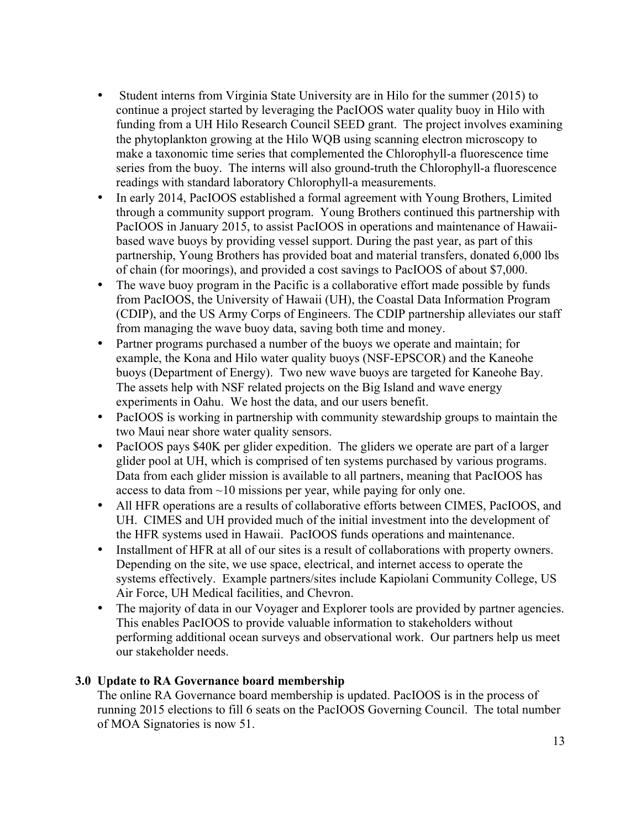- Student interns from Virginia State University are in Hilo for the summer (2015) to continue a project started by leveraging the PacIOOS water quality buoy in Hilo with funding from a UH Hilo Research Council SEED grant. The project involves examining the phytoplankton growing at the Hilo WQB using scanning electron microscopy to make a taxonomic time series that complemented the Chlorophyll-a fluorescence time series from the buoy. The interns will also ground-truth the Chlorophyll-a fluorescence readings with standard laboratory Chlorophyll-a measurements.
- In early 2014, PacIOOS established a formal agreement with Young Brothers, Limited through a community support program. Young Brothers continued this partnership with PacIOOS in January 2015, to assist PacIOOS in operations and maintenance of Hawaiibased wave buoys by providing vessel support. During the past year, as part of this partnership, Young Brothers has provided boat and material transfers, donated 6,000 lbs of chain (for moorings), and provided a cost savings to PacIOOS of about \$7,000.
- The wave buoy program in the Pacific is a collaborative effort made possible by funds from PacIOOS, the University of Hawaii (UH), the Coastal Data Information Program (CDIP), and the US Army Corps of Engineers. The CDIP partnership alleviates our staff from managing the wave buoy data, saving both time and money.
- Partner programs purchased a number of the buoys we operate and maintain; for example, the Kona and Hilo water quality buoys (NSF-EPSCOR) and the Kaneohe buoys (Department of Energy). Two new wave buoys are targeted for Kaneohe Bay. The assets help with NSF related projects on the Big Island and wave energy experiments in Oahu. We host the data, and our users benefit.
- PacIOOS is working in partnership with community stewardship groups to maintain the two Maui near shore water quality sensors.
- PacIOOS pays \$40K per glider expedition. The gliders we operate are part of a larger glider pool at UH, which is comprised of ten systems purchased by various programs. Data from each glider mission is available to all partners, meaning that PacIOOS has access to data from ~10 missions per year, while paying for only one.
- All HFR operations are a results of collaborative efforts between CIMES, PacIOOS, and UH. CIMES and UH provided much of the initial investment into the development of the HFR systems used in Hawaii. PacIOOS funds operations and maintenance.
- Installment of HFR at all of our sites is a result of collaborations with property owners. Depending on the site, we use space, electrical, and internet access to operate the systems effectively. Example partners/sites include Kapiolani Community College, US Air Force, UH Medical facilities, and Chevron.
- The majority of data in our Voyager and Explorer tools are provided by partner agencies. This enables PacIOOS to provide valuable information to stakeholders without performing additional ocean surveys and observational work. Our partners help us meet our stakeholder needs.

# **3.0 Update to RA Governance board membership**

The online RA Governance board membership is updated. PacIOOS is in the process of running 2015 elections to fill 6 seats on the PacIOOS Governing Council. The total number of MOA Signatories is now 51.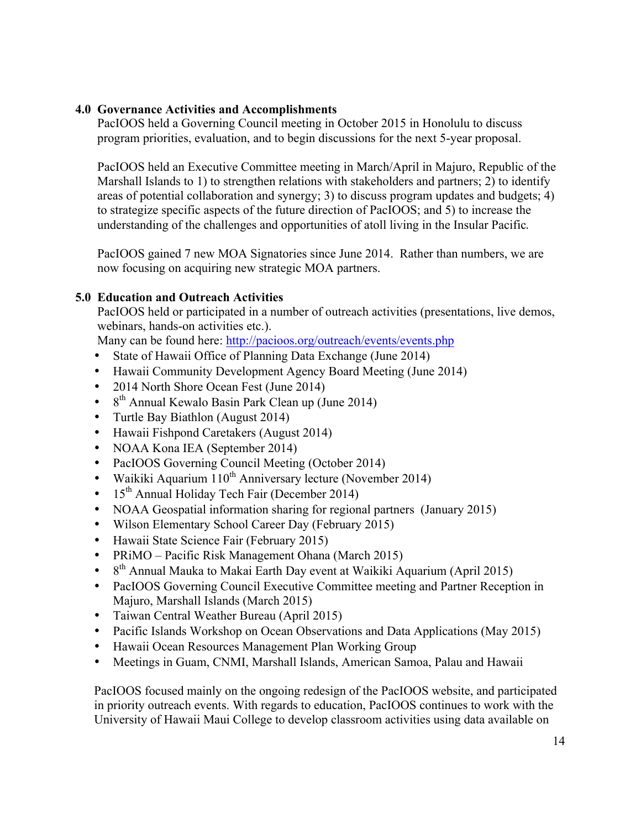#### **4.0 Governance Activities and Accomplishments**

PacIOOS held a Governing Council meeting in October 2015 in Honolulu to discuss program priorities, evaluation, and to begin discussions for the next 5-year proposal.

PacIOOS held an Executive Committee meeting in March/April in Majuro, Republic of the Marshall Islands to 1) to strengthen relations with stakeholders and partners; 2) to identify areas of potential collaboration and synergy; 3) to discuss program updates and budgets; 4) to strategize specific aspects of the future direction of PacIOOS; and 5) to increase the understanding of the challenges and opportunities of atoll living in the Insular Pacific.

PacIOOS gained 7 new MOA Signatories since June 2014. Rather than numbers, we are now focusing on acquiring new strategic MOA partners.

#### **5.0 Education and Outreach Activities**

PacIOOS held or participated in a number of outreach activities (presentations, live demos, webinars, hands-on activities etc.).

Many can be found here: http://pacioos.org/outreach/events/events.php

- State of Hawaii Office of Planning Data Exchange (June 2014)
- Hawaii Community Development Agency Board Meeting (June 2014)
- 2014 North Shore Ocean Fest (June 2014)
- $8<sup>th</sup>$  Annual Kewalo Basin Park Clean up (June 2014)
- Turtle Bay Biathlon (August 2014)
- Hawaii Fishpond Caretakers (August 2014)
- NOAA Kona IEA (September 2014)
- PacIOOS Governing Council Meeting (October 2014)
- Waikiki Aquarium 110<sup>th</sup> Anniversary lecture (November 2014)
- $15<sup>th</sup>$  Annual Holiday Tech Fair (December 2014)
- NOAA Geospatial information sharing for regional partners (January 2015)
- Wilson Elementary School Career Day (February 2015)
- Hawaii State Science Fair (February 2015)
- PRiMO Pacific Risk Management Ohana (March 2015)
- $8<sup>th</sup>$  Annual Mauka to Makai Earth Day event at Waikiki Aquarium (April 2015)
- PacIOOS Governing Council Executive Committee meeting and Partner Reception in Majuro, Marshall Islands (March 2015)
- Taiwan Central Weather Bureau (April 2015)
- Pacific Islands Workshop on Ocean Observations and Data Applications (May 2015)
- Hawaii Ocean Resources Management Plan Working Group
- Meetings in Guam, CNMI, Marshall Islands, American Samoa, Palau and Hawaii

PacIOOS focused mainly on the ongoing redesign of the PacIOOS website, and participated in priority outreach events. With regards to education, PacIOOS continues to work with the University of Hawaii Maui College to develop classroom activities using data available on